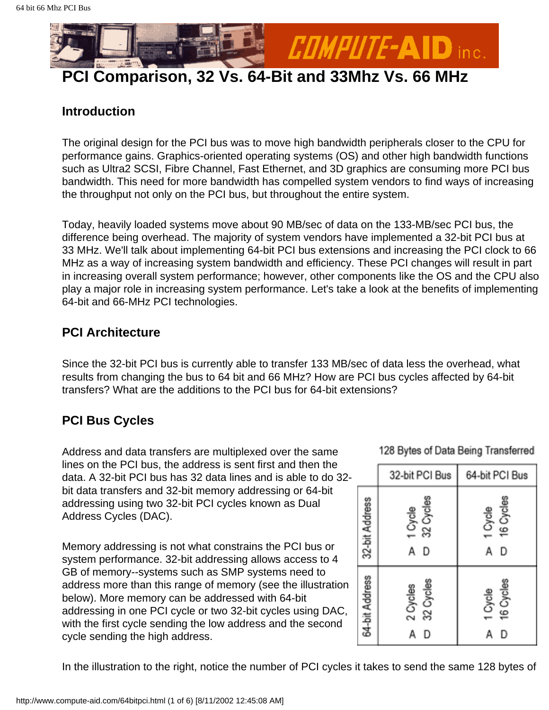

### **Introduction**

The original design for the PCI bus was to move high bandwidth peripherals closer to the CPU for performance gains. Graphics-oriented operating systems (OS) and other high bandwidth functions such as Ultra2 SCSI, Fibre Channel, Fast Ethernet, and 3D graphics are consuming more PCI bus bandwidth. This need for more bandwidth has compelled system vendors to find ways of increasing the throughput not only on the PCI bus, but throughout the entire system.

Today, heavily loaded systems move about 90 MB/sec of data on the 133-MB/sec PCI bus, the difference being overhead. The majority of system vendors have implemented a 32-bit PCI bus at 33 MHz. We'll talk about implementing 64-bit PCI bus extensions and increasing the PCI clock to 66 MHz as a way of increasing system bandwidth and efficiency. These PCI changes will result in part in increasing overall system performance; however, other components like the OS and the CPU also play a major role in increasing system performance. Let's take a look at the benefits of implementing 64-bit and 66-MHz PCI technologies.

## **PCI Architecture**

Since the 32-bit PCI bus is currently able to transfer 133 MB/sec of data less the overhead, what results from changing the bus to 64 bit and 66 MHz? How are PCI bus cycles affected by 64-bit transfers? What are the additions to the PCI bus for 64-bit extensions?

# **PCI Bus Cycles**

Address and data transfers are multiplexed over the same lines on the PCI bus, the address is sent first and then the data. A 32-bit PCI bus has 32 data lines and is able to do 32 bit data transfers and 32-bit memory addressing or 64-bit addressing using two 32-bit PCI cycles known as Dual Address Cycles (DAC).

Memory addressing is not what constrains the PCI bus or system performance. 32-bit addressing allows access to 4 GB of memory--systems such as SMP systems need to address more than this range of memory (see the illustration below). More memory can be addressed with 64-bit addressing in one PCI cycle or two 32-bit cycles using DAC, with the first cycle sending the low address and the second cycle sending the high address.

128 Bytes of Data Being Transferred

|                | 32-bit PCI Bus                 | 64-bit PCI Bus                 |  |  |
|----------------|--------------------------------|--------------------------------|--|--|
| 32-bit Address | 32 Cycles<br>1 Cycle<br>D<br>Α | 16 Cycles<br>1 Cycle<br>D<br>Α |  |  |
| 64-bit Address | 32 Cycles<br>2 Cycles<br>D     | 16 Cycles<br>1 Cycle<br>D<br>А |  |  |

In the illustration to the right, notice the number of PCI cycles it takes to send the same 128 bytes of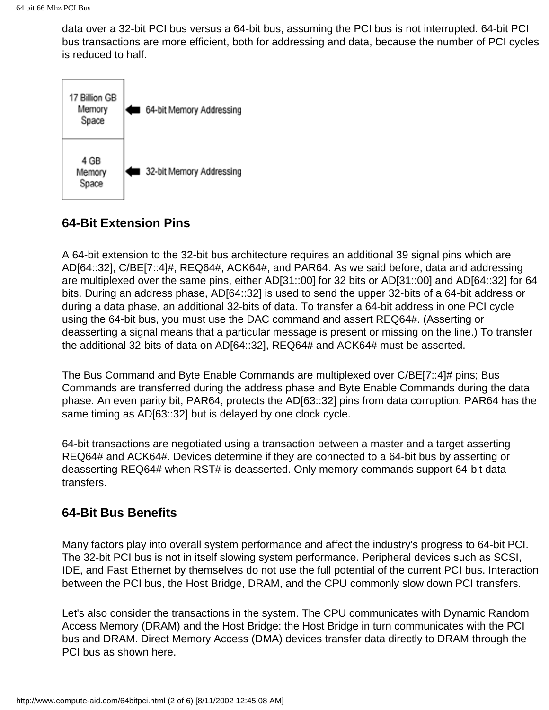data over a 32-bit PCI bus versus a 64-bit bus, assuming the PCI bus is not interrupted. 64-bit PCI bus transactions are more efficient, both for addressing and data, because the number of PCI cycles is reduced to half.



# **64-Bit Extension Pins**

A 64-bit extension to the 32-bit bus architecture requires an additional 39 signal pins which are AD[64::32], C/BE[7::4]#, REQ64#, ACK64#, and PAR64. As we said before, data and addressing are multiplexed over the same pins, either AD[31::00] for 32 bits or AD[31::00] and AD[64::32] for 64 bits. During an address phase, AD[64::32] is used to send the upper 32-bits of a 64-bit address or during a data phase, an additional 32-bits of data. To transfer a 64-bit address in one PCI cycle using the 64-bit bus, you must use the DAC command and assert REQ64#. (Asserting or deasserting a signal means that a particular message is present or missing on the line.) To transfer the additional 32-bits of data on AD[64::32], REQ64# and ACK64# must be asserted.

The Bus Command and Byte Enable Commands are multiplexed over C/BE[7::4]# pins; Bus Commands are transferred during the address phase and Byte Enable Commands during the data phase. An even parity bit, PAR64, protects the AD[63::32] pins from data corruption. PAR64 has the same timing as AD[63::32] but is delayed by one clock cycle.

64-bit transactions are negotiated using a transaction between a master and a target asserting REQ64# and ACK64#. Devices determine if they are connected to a 64-bit bus by asserting or deasserting REQ64# when RST# is deasserted. Only memory commands support 64-bit data transfers.

### **64-Bit Bus Benefits**

Many factors play into overall system performance and affect the industry's progress to 64-bit PCI. The 32-bit PCI bus is not in itself slowing system performance. Peripheral devices such as SCSI, IDE, and Fast Ethernet by themselves do not use the full potential of the current PCI bus. Interaction between the PCI bus, the Host Bridge, DRAM, and the CPU commonly slow down PCI transfers.

Let's also consider the transactions in the system. The CPU communicates with Dynamic Random Access Memory (DRAM) and the Host Bridge: the Host Bridge in turn communicates with the PCI bus and DRAM. Direct Memory Access (DMA) devices transfer data directly to DRAM through the PCI bus as shown here.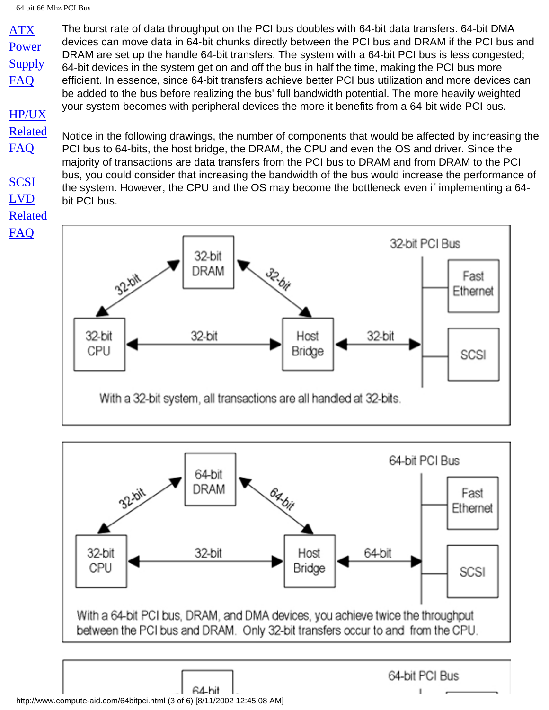[Power](#page-6-0) **[Supply](#page-6-0)** [FAQ](#page-6-0)

[ATX](#page-6-0)

[HP/UX](http://www.compute-aid.com/servertip.html) [Related](http://www.compute-aid.com/servertip.html) [FAQ](http://www.compute-aid.com/servertip.html) [SCSI](#page-11-0)

[LVD](#page-11-0) [Related](#page-11-0)

[FAQ](#page-11-0)

The burst rate of data throughput on the PCI bus doubles with 64-bit data transfers. 64-bit DMA devices can move data in 64-bit chunks directly between the PCI bus and DRAM if the PCI bus and DRAM are set up the handle 64-bit transfers. The system with a 64-bit PCI bus is less congested; 64-bit devices in the system get on and off the bus in half the time, making the PCI bus more efficient. In essence, since 64-bit transfers achieve better PCI bus utilization and more devices can be added to the bus before realizing the bus' full bandwidth potential. The more heavily weighted your system becomes with peripheral devices the more it benefits from a 64-bit wide PCI bus.

Notice in the following drawings, the number of components that would be affected by increasing the PCI bus to 64-bits, the host bridge, the DRAM, the CPU and even the OS and driver. Since the majority of transactions are data transfers from the PCI bus to DRAM and from DRAM to the PCI bus, you could consider that increasing the bandwidth of the bus would increase the performance of the system. However, the CPU and the OS may become the bottleneck even if implementing a 64 bit PCI bus.





64-hit http://www.compute-aid.com/64bitpci.html (3 of 6) [8/11/2002 12:45:08 AM]

64-bit PCI Bus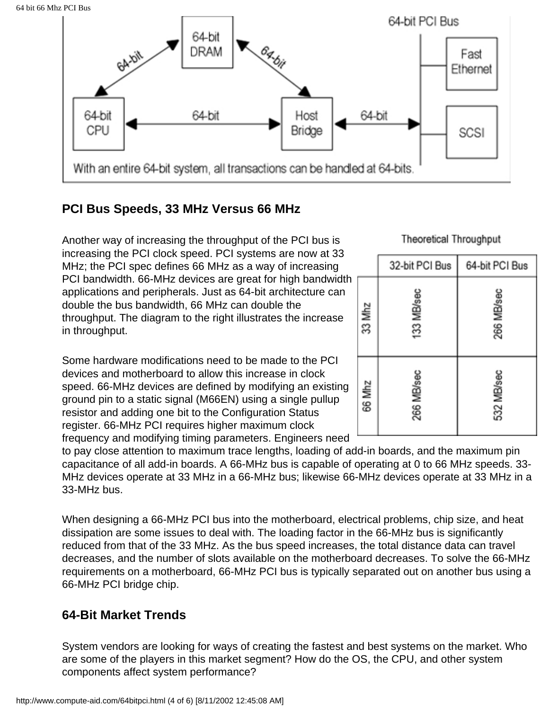64 bit 66 Mhz PCI Bus



# **PCI Bus Speeds, 33 MHz Versus 66 MHz**

Another way of increasing the throughput of the PCI bus is increasing the PCI clock speed. PCI systems are now at 33 MHz; the PCI spec defines 66 MHz as a way of increasing PCI bandwidth. 66-MHz devices are great for high bandwidth applications and peripherals. Just as 64-bit architecture can double the bus bandwidth, 66 MHz can double the throughput. The diagram to the right illustrates the increase in throughput.

Some hardware modifications need to be made to the PCI devices and motherboard to allow this increase in clock speed. 66-MHz devices are defined by modifying an existing ground pin to a static signal (M66EN) using a single pullup resistor and adding one bit to the Configuration Status register. 66-MHz PCI requires higher maximum clock frequency and modifying timing parameters. Engineers need

to pay close attention to maximum trace lengths, loading of add-in boards, and the maximum pin capacitance of all add-in boards. A 66-MHz bus is capable of operating at 0 to 66 MHz speeds. 33- MHz devices operate at 33 MHz in a 66-MHz bus; likewise 66-MHz devices operate at 33 MHz in a 33-MHz bus.

When designing a 66-MHz PCI bus into the motherboard, electrical problems, chip size, and heat dissipation are some issues to deal with. The loading factor in the 66-MHz bus is significantly reduced from that of the 33 MHz. As the bus speed increases, the total distance data can travel decreases, and the number of slots available on the motherboard decreases. To solve the 66-MHz requirements on a motherboard, 66-MHz PCI bus is typically separated out on another bus using a 66-MHz PCI bridge chip.

### **64-Bit Market Trends**

System vendors are looking for ways of creating the fastest and best systems on the market. Who are some of the players in this market segment? How do the OS, the CPU, and other system components affect system performance?

**Theoretical Throughput** 

|        | 32-bit PCI Bus | 64-bit PCI Bus |  |  |
|--------|----------------|----------------|--|--|
| 33 Mhz | 133 MB/sec     | 266 MB/sec     |  |  |
| 66 Mhz | 266 MB/sec     | 532 MB/sec     |  |  |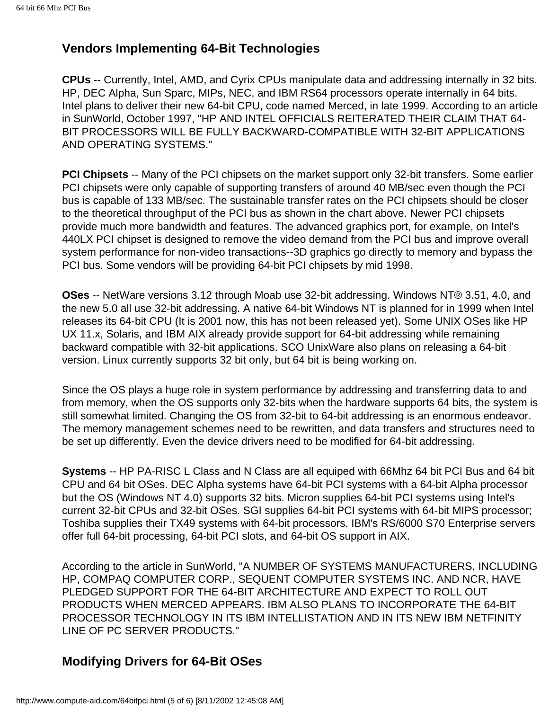## **Vendors Implementing 64-Bit Technologies**

**CPUs** -- Currently, Intel, AMD, and Cyrix CPUs manipulate data and addressing internally in 32 bits. HP, DEC Alpha, Sun Sparc, MIPs, NEC, and IBM RS64 processors operate internally in 64 bits. Intel plans to deliver their new 64-bit CPU, code named Merced, in late 1999. According to an article in SunWorld, October 1997, "HP AND INTEL OFFICIALS REITERATED THEIR CLAIM THAT 64- BIT PROCESSORS WILL BE FULLY BACKWARD-COMPATIBLE WITH 32-BIT APPLICATIONS AND OPERATING SYSTEMS."

**PCI Chipsets** -- Many of the PCI chipsets on the market support only 32-bit transfers. Some earlier PCI chipsets were only capable of supporting transfers of around 40 MB/sec even though the PCI bus is capable of 133 MB/sec. The sustainable transfer rates on the PCI chipsets should be closer to the theoretical throughput of the PCI bus as shown in the chart above. Newer PCI chipsets provide much more bandwidth and features. The advanced graphics port, for example, on Intel's 440LX PCI chipset is designed to remove the video demand from the PCI bus and improve overall system performance for non-video transactions--3D graphics go directly to memory and bypass the PCI bus. Some vendors will be providing 64-bit PCI chipsets by mid 1998.

**OSes** -- NetWare versions 3.12 through Moab use 32-bit addressing. Windows NT® 3.51, 4.0, and the new 5.0 all use 32-bit addressing. A native 64-bit Windows NT is planned for in 1999 when Intel releases its 64-bit CPU (It is 2001 now, this has not been released yet). Some UNIX OSes like HP UX 11.x, Solaris, and IBM AIX already provide support for 64-bit addressing while remaining backward compatible with 32-bit applications. SCO UnixWare also plans on releasing a 64-bit version. Linux currently supports 32 bit only, but 64 bit is being working on.

Since the OS plays a huge role in system performance by addressing and transferring data to and from memory, when the OS supports only 32-bits when the hardware supports 64 bits, the system is still somewhat limited. Changing the OS from 32-bit to 64-bit addressing is an enormous endeavor. The memory management schemes need to be rewritten, and data transfers and structures need to be set up differently. Even the device drivers need to be modified for 64-bit addressing.

**Systems** -- HP PA-RISC L Class and N Class are all equiped with 66Mhz 64 bit PCI Bus and 64 bit CPU and 64 bit OSes. DEC Alpha systems have 64-bit PCI systems with a 64-bit Alpha processor but the OS (Windows NT 4.0) supports 32 bits. Micron supplies 64-bit PCI systems using Intel's current 32-bit CPUs and 32-bit OSes. SGI supplies 64-bit PCI systems with 64-bit MIPS processor; Toshiba supplies their TX49 systems with 64-bit processors. IBM's RS/6000 S70 Enterprise servers offer full 64-bit processing, 64-bit PCI slots, and 64-bit OS support in AIX.

According to the article in SunWorld, "A NUMBER OF SYSTEMS MANUFACTURERS, INCLUDING HP, COMPAQ COMPUTER CORP., SEQUENT COMPUTER SYSTEMS INC. AND NCR, HAVE PLEDGED SUPPORT FOR THE 64-BIT ARCHITECTURE AND EXPECT TO ROLL OUT PRODUCTS WHEN MERCED APPEARS. IBM ALSO PLANS TO INCORPORATE THE 64-BIT PROCESSOR TECHNOLOGY IN ITS IBM INTELLISTATION AND IN ITS NEW IBM NETFINITY LINE OF PC SERVER PRODUCTS."

# **Modifying Drivers for 64-Bit OSes**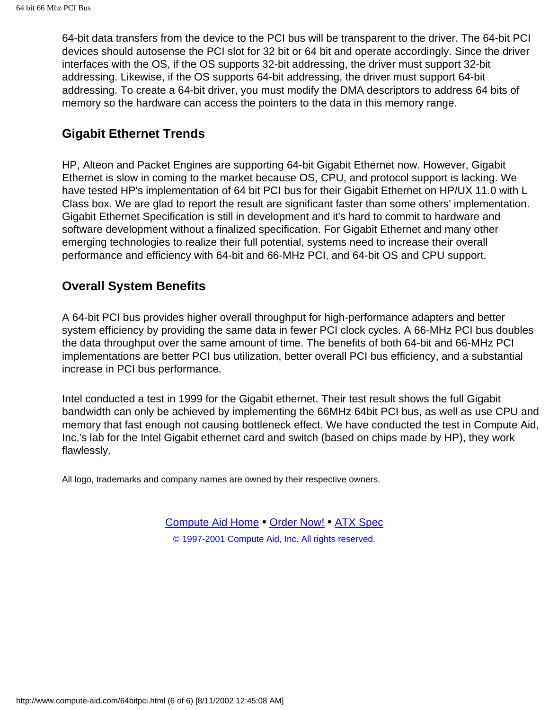64-bit data transfers from the device to the PCI bus will be transparent to the driver. The 64-bit PCI devices should autosense the PCI slot for 32 bit or 64 bit and operate accordingly. Since the driver interfaces with the OS, if the OS supports 32-bit addressing, the driver must support 32-bit addressing. Likewise, if the OS supports 64-bit addressing, the driver must support 64-bit addressing. To create a 64-bit driver, you must modify the DMA descriptors to address 64 bits of memory so the hardware can access the pointers to the data in this memory range.

### **Gigabit Ethernet Trends**

HP, Alteon and Packet Engines are supporting 64-bit Gigabit Ethernet now. However, Gigabit Ethernet is slow in coming to the market because OS, CPU, and protocol support is lacking. We have tested HP's implementation of 64 bit PCI bus for their Gigabit Ethernet on HP/UX 11.0 with L Class box. We are glad to report the result are significant faster than some others' implementation. Gigabit Ethernet Specification is still in development and it's hard to commit to hardware and software development without a finalized specification. For Gigabit Ethernet and many other emerging technologies to realize their full potential, systems need to increase their overall performance and efficiency with 64-bit and 66-MHz PCI, and 64-bit OS and CPU support.

### **Overall System Benefits**

A 64-bit PCI bus provides higher overall throughput for high-performance adapters and better system efficiency by providing the same data in fewer PCI clock cycles. A 66-MHz PCI bus doubles the data throughput over the same amount of time. The benefits of both 64-bit and 66-MHz PCI implementations are better PCI bus utilization, better overall PCI bus efficiency, and a substantial increase in PCI bus performance.

Intel conducted a test in 1999 for the Gigabit ethernet. Their test result shows the full Gigabit bandwidth can only be achieved by implementing the 66MHz 64bit PCI bus, as well as use CPU and memory that fast enough not causing bottleneck effect. We have conducted the test in Compute Aid, Inc.'s lab for the Intel Gigabit ethernet card and switch (based on chips made by HP), they work flawlessly.

All logo, trademarks and company names are owned by their respective owners.

[Compute Aid Home](http://www.compute-aid.com/index.html) • [Order Now!](http://store.compute-aid.com/) • [ATX Spec](#page-6-0) © 1997-2001 Compute Aid, Inc. All rights reserved.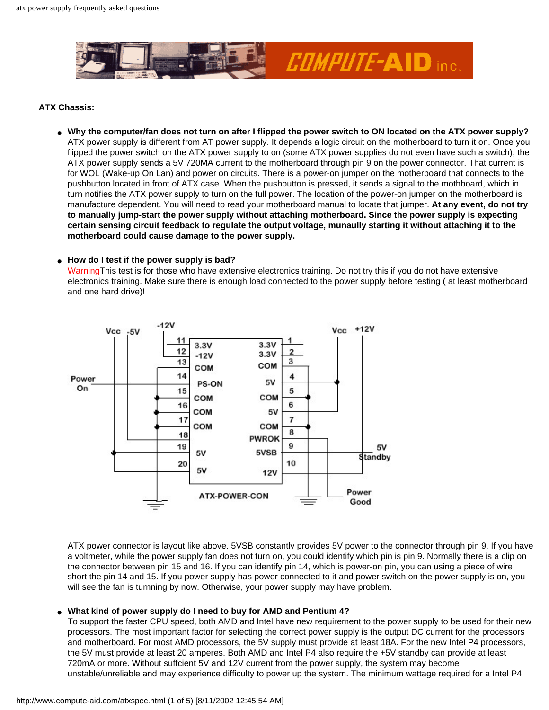<span id="page-6-0"></span>

#### **ATX Chassis:**

● **Why the computer/fan does not turn on after I flipped the power switch to ON located on the ATX power supply?** ATX power supply is different from AT power supply. It depends a logic circuit on the motherboard to turn it on. Once you flipped the power switch on the ATX power supply to on (some ATX power supplies do not even have such a switch), the ATX power supply sends a 5V 720MA current to the motherboard through pin 9 on the power connector. That current is for WOL (Wake-up On Lan) and power on circuits. There is a power-on jumper on the motherboard that connects to the pushbutton located in front of ATX case. When the pushbutton is pressed, it sends a signal to the mothboard, which in turn notifies the ATX power supply to turn on the full power. The location of the power-on jumper on the motherboard is manufacture dependent. You will need to read your motherboard manual to locate that jumper. **At any event, do not try to manually jump-start the power supply without attaching motherboard. Since the power supply is expecting certain sensing circuit feedback to regulate the output voltage, munaully starting it without attaching it to the motherboard could cause damage to the power supply.**

#### ● **How do I test if the power supply is bad?**

WarningThis test is for those who have extensive electronics training. Do not try this if you do not have extensive electronics training. Make sure there is enough load connected to the power supply before testing ( at least motherboard and one hard drive)!



ATX power connector is layout like above. 5VSB constantly provides 5V power to the connector through pin 9. If you have a voltmeter, while the power supply fan does not turn on, you could identify which pin is pin 9. Normally there is a clip on the connector between pin 15 and 16. If you can identify pin 14, which is power-on pin, you can using a piece of wire short the pin 14 and 15. If you power supply has power connected to it and power switch on the power supply is on, you will see the fan is turnning by now. Otherwise, your power supply may have problem.

#### What kind of power supply do I need to buy for AMD and Pentium 4?

To support the faster CPU speed, both AMD and Intel have new requirement to the power supply to be used for their new processors. The most important factor for selecting the correct power supply is the output DC current for the processors and motherboard. For most AMD processors, the 5V supply must provide at least 18A. For the new Intel P4 processors, the 5V must provide at least 20 amperes. Both AMD and Intel P4 also require the +5V standby can provide at least 720mA or more. Without suffcient 5V and 12V current from the power supply, the system may become unstable/unreliable and may experience difficulty to power up the system. The minimum wattage required for a Intel P4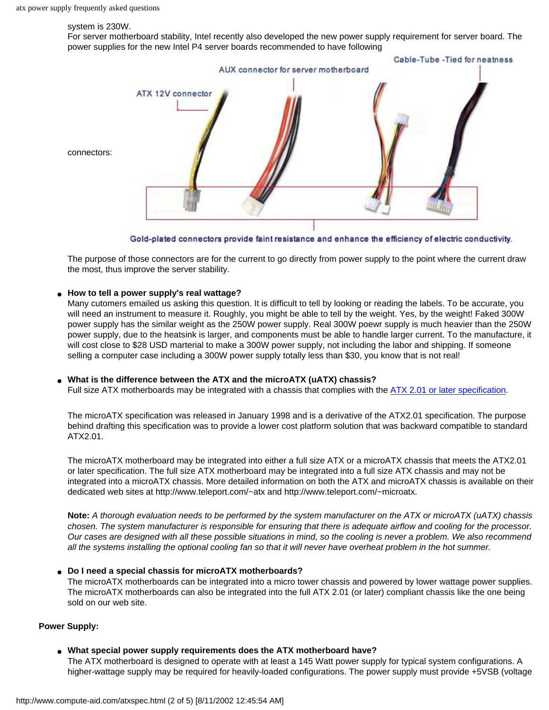#### system is 230W.

For server motherboard stability, Intel recently also developed the new power supply requirement for server board. The power supplies for the new Intel P4 server boards recommended to have following



Gold-plated connectors provide faint resistance and enhance the efficiency of electric conductivity.

The purpose of those connectors are for the current to go directly from power supply to the point where the current draw the most, thus improve the server stability.

#### ● **How to tell a power supply's real wattage?**

Many cutomers emailed us asking this question. It is difficult to tell by looking or reading the labels. To be accurate, you will need an instrument to measure it. Roughly, you might be able to tell by the weight. Yes, by the weight! Faked 300W power supply has the similar weight as the 250W power supply. Real 300W poewr supply is much heavier than the 250W power supply, due to the heatsink is larger, and components must be able to handle larger current. To the manufacture, it will cost close to \$28 USD marterial to make a 300W power supply, not including the labor and shipping. If someone selling a computer case including a 300W power supply totally less than \$30, you know that is not real!

#### What is the difference between the ATX and the microATX (uATX) chassis?

Full size ATX motherboards may be integrated with a chassis that complies with the [ATX 2.01 or later specification](http://www.teleport.com/~atx/spec/atx2_03.pdf).

The microATX specification was released in January 1998 and is a derivative of the ATX2.01 specification. The purpose behind drafting this specification was to provide a lower cost platform solution that was backward compatible to standard ATX2.01.

The microATX motherboard may be integrated into either a full size ATX or a microATX chassis that meets the ATX2.01 or later specification. The full size ATX motherboard may be integrated into a full size ATX chassis and may not be integrated into a microATX chassis. More detailed information on both the ATX and microATX chassis is available on their dedicated web sites at http://www.teleport.com/~atx and http://www.teleport.com/~microatx.

**Note:** *A thorough evaluation needs to be performed by the system manufacturer on the ATX or microATX (uATX) chassis chosen. The system manufacturer is responsible for ensuring that there is adequate airflow and cooling for the processor. Our cases are designed with all these possible situations in mind, so the cooling is never a problem. We also recommend all the systems installing the optional cooling fan so that it will never have overheat problem in the hot summer.*

#### ● **Do I need a special chassis for microATX motherboards?**

The microATX motherboards can be integrated into a micro tower chassis and powered by lower wattage power supplies. The microATX motherboards can also be integrated into the full ATX 2.01 (or later) compliant chassis like the one being sold on our web site.

#### **Power Supply:**

● **What special power supply requirements does the ATX motherboard have?**

The ATX motherboard is designed to operate with at least a 145 Watt power supply for typical system configurations. A higher-wattage supply may be required for heavily-loaded configurations. The power supply must provide +5VSB (voltage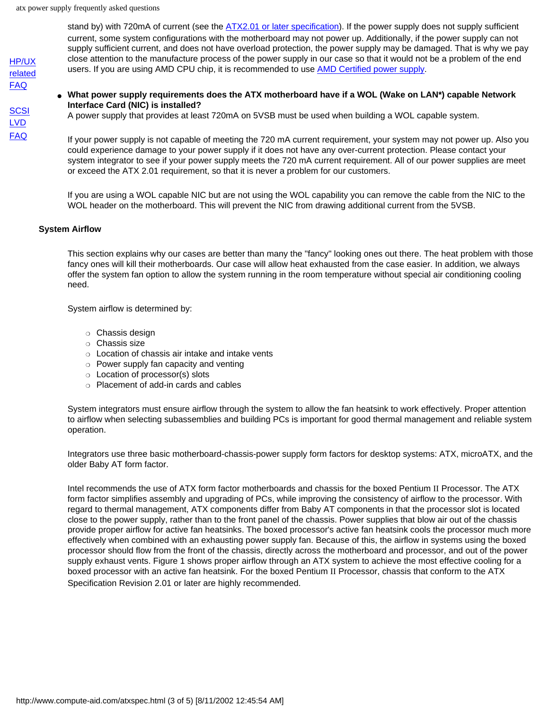[HP/UX](http://www.compute-aid.com/servertip.html) [related](http://www.compute-aid.com/servertip.html) [FAQ](http://www.compute-aid.com/servertip.html)

**[SCSI](#page-11-0)** [LVD](#page-11-0) [FAQ](#page-11-0)

stand by) with 720mA of current (see the [ATX2.01 or later specification](http://www.teleport.com/~atx/spec/atxps09.pdf)). If the power supply does not supply sufficient current, some system configurations with the motherboard may not power up. Additionally, if the power supply can not supply sufficient current, and does not have overload protection, the power supply may be damaged. That is why we pay close attention to the manufacture process of the power supply in our case so that it would not be a problem of the end users. If you are using AMD CPU chip, it is recommended to use **AMD Certified power supply**.

#### What power supply requirements does the ATX motherboard have if a WOL (Wake on LAN\*) capable Network **Interface Card (NIC) is installed?**

A power supply that provides at least 720mA on 5VSB must be used when building a WOL capable system.

If your power supply is not capable of meeting the 720 mA current requirement, your system may not power up. Also you could experience damage to your power supply if it does not have any over-current protection. Please contact your system integrator to see if your power supply meets the 720 mA current requirement. All of our power supplies are meet or exceed the ATX 2.01 requirement, so that it is never a problem for our customers.

If you are using a WOL capable NIC but are not using the WOL capability you can remove the cable from the NIC to the WOL header on the motherboard. This will prevent the NIC from drawing additional current from the 5VSB.

#### **System Airflow**

This section explains why our cases are better than many the "fancy" looking ones out there. The heat problem with those fancy ones will kill their motherboards. Our case will allow heat exhausted from the case easier. In addition, we always offer the system fan option to allow the system running in the room temperature without special air conditioning cooling need.

System airflow is determined by:

- ❍ Chassis design
- ❍ Chassis size
- ❍ Location of chassis air intake and intake vents
- $\circ$  Power supply fan capacity and venting
- ❍ Location of processor(s) slots
- ❍ Placement of add-in cards and cables

System integrators must ensure airflow through the system to allow the fan heatsink to work effectively. Proper attention to airflow when selecting subassemblies and building PCs is important for good thermal management and reliable system operation.

Integrators use three basic motherboard-chassis-power supply form factors for desktop systems: ATX, microATX, and the older Baby AT form factor.

Intel recommends the use of ATX form factor motherboards and chassis for the boxed Pentium II Processor. The ATX form factor simplifies assembly and upgrading of PCs, while improving the consistency of airflow to the processor. With regard to thermal management, ATX components differ from Baby AT components in that the processor slot is located close to the power supply, rather than to the front panel of the chassis. Power supplies that blow air out of the chassis provide proper airflow for active fan heatsinks. The boxed processor's active fan heatsink cools the processor much more effectively when combined with an exhausting power supply fan. Because of this, the airflow in systems using the boxed processor should flow from the front of the chassis, directly across the motherboard and processor, and out of the power supply exhaust vents. Figure 1 shows proper airflow through an ATX system to achieve the most effective cooling for a boxed processor with an active fan heatsink. For the boxed Pentium II Processor, chassis that conform to the ATX Specification Revision 2.01 or later are highly recommended.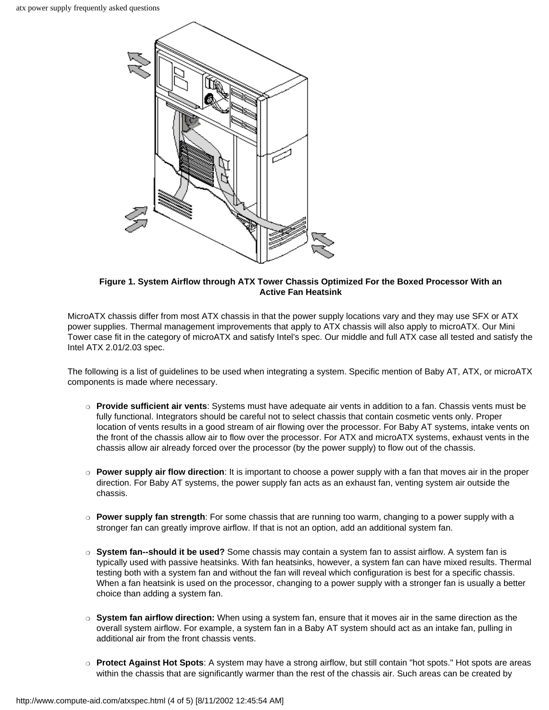

#### **Figure 1. System Airflow through ATX Tower Chassis Optimized For the Boxed Processor With an Active Fan Heatsink**

MicroATX chassis differ from most ATX chassis in that the power supply locations vary and they may use SFX or ATX power supplies. Thermal management improvements that apply to ATX chassis will also apply to microATX. Our Mini Tower case fit in the category of microATX and satisfy Intel's spec. Our middle and full ATX case all tested and satisfy the Intel ATX 2.01/2.03 spec.

The following is a list of guidelines to be used when integrating a system. Specific mention of Baby AT, ATX, or microATX components is made where necessary.

- ❍ **Provide sufficient air vents**: Systems must have adequate air vents in addition to a fan. Chassis vents must be fully functional. Integrators should be careful not to select chassis that contain cosmetic vents only. Proper location of vents results in a good stream of air flowing over the processor. For Baby AT systems, intake vents on the front of the chassis allow air to flow over the processor. For ATX and microATX systems, exhaust vents in the chassis allow air already forced over the processor (by the power supply) to flow out of the chassis.
- ❍ **Power supply air flow direction**: It is important to choose a power supply with a fan that moves air in the proper direction. For Baby AT systems, the power supply fan acts as an exhaust fan, venting system air outside the chassis.
- ❍ **Power supply fan strength**: For some chassis that are running too warm, changing to a power supply with a stronger fan can greatly improve airflow. If that is not an option, add an additional system fan.
- ❍ **System fan--should it be used?** Some chassis may contain a system fan to assist airflow. A system fan is typically used with passive heatsinks. With fan heatsinks, however, a system fan can have mixed results. Thermal testing both with a system fan and without the fan will reveal which configuration is best for a specific chassis. When a fan heatsink is used on the processor, changing to a power supply with a stronger fan is usually a better choice than adding a system fan.
- ❍ **System fan airflow direction:** When using a system fan, ensure that it moves air in the same direction as the overall system airflow. For example, a system fan in a Baby AT system should act as an intake fan, pulling in additional air from the front chassis vents.
- ❍ **Protect Against Hot Spots**: A system may have a strong airflow, but still contain "hot spots." Hot spots are areas within the chassis that are significantly warmer than the rest of the chassis air. Such areas can be created by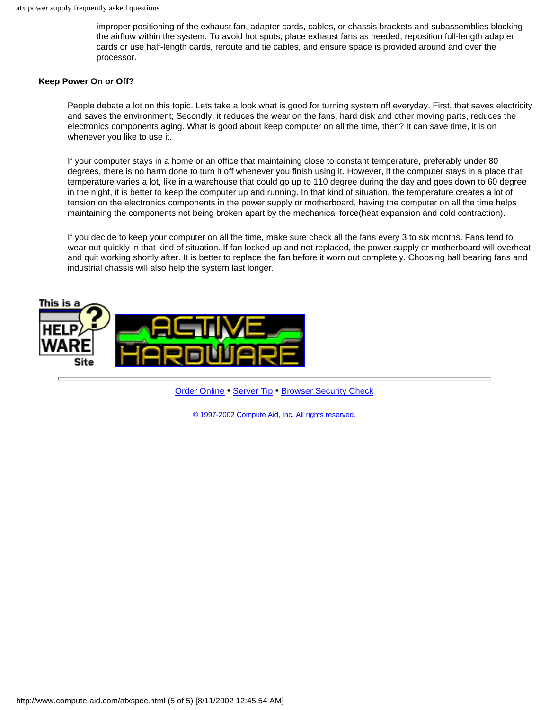improper positioning of the exhaust fan, adapter cards, cables, or chassis brackets and subassemblies blocking the airflow within the system. To avoid hot spots, place exhaust fans as needed, reposition full-length adapter cards or use half-length cards, reroute and tie cables, and ensure space is provided around and over the processor.

#### **Keep Power On or Off?**

People debate a lot on this topic. Lets take a look what is good for turning system off everyday. First, that saves electricity and saves the environment; Secondly, it reduces the wear on the fans, hard disk and other moving parts, reduces the electronics components aging. What is good about keep computer on all the time, then? It can save time, it is on whenever you like to use it.

If your computer stays in a home or an office that maintaining close to constant temperature, preferably under 80 degrees, there is no harm done to turn it off whenever you finish using it. However, if the computer stays in a place that temperature varies a lot, like in a warehouse that could go up to 110 degree during the day and goes down to 60 degree in the night, it is better to keep the computer up and running. In that kind of situation, the temperature creates a lot of tension on the electronics components in the power supply or motherboard, having the computer on all the time helps maintaining the components not being broken apart by the mechanical force(heat expansion and cold contraction).

If you decide to keep your computer on all the time, make sure check all the fans every 3 to six months. Fans tend to wear out quickly in that kind of situation. If fan locked up and not replaced, the power supply or motherboard will overheat and quit working shortly after. It is better to replace the fan before it worn out completely. Choosing ball bearing fans and industrial chassis will also help the system last longer.



[Order Online](http://store.compute-aid.com/) • [Server Tip](http://www.compute-aid.com/servertip.html) • [Browser Security Check](http://www.compute-aid.com/browser.htm)

© 1997-2002 Compute Aid, Inc. All rights reserved.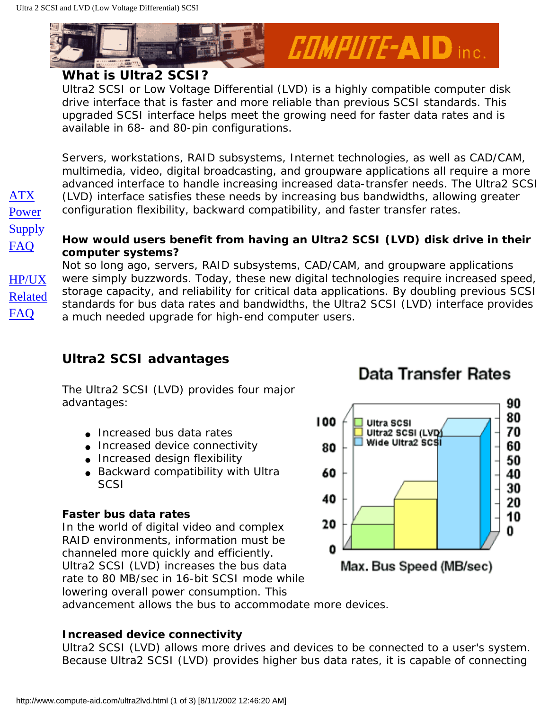[ATX](#page-6-0) [Power](#page-6-0) **[Supply](#page-6-0)** [FAQ](#page-6-0)

[HP/UX](http://www.compute-aid.com/servertip.html) [Related](http://www.compute-aid.com/servertip.html)

[FAQ](http://www.compute-aid.com/servertip.html)

<span id="page-11-0"></span>

### **What is Ultra2 SCSI?**

Ultra2 SCSI or Low Voltage Differential (LVD) is a highly compatible computer disk drive interface that is faster and more reliable than previous SCSI standards. This upgraded SCSI interface helps meet the growing need for faster data rates and is available in 68- and 80-pin configurations.

Servers, workstations, RAID subsystems, Internet technologies, as well as CAD/CAM, multimedia, video, digital broadcasting, and groupware applications all require a more advanced interface to handle increasing increased data-transfer needs. The Ultra2 SCSI (LVD) interface satisfies these needs by increasing bus bandwidths, allowing greater configuration flexibility, backward compatibility, and faster transfer rates.

### **How would users benefit from having an Ultra2 SCSI (LVD) disk drive in their computer systems?**

Not so long ago, servers, RAID subsystems, CAD/CAM, and groupware applications were simply buzzwords. Today, these new digital technologies require increased speed, storage capacity, and reliability for critical data applications. By doubling previous SCSI standards for bus data rates and bandwidths, the Ultra2 SCSI (LVD) interface provides a much needed upgrade for high-end computer users.

# **Ultra2 SCSI advantages**

The Ultra2 SCSI (LVD) provides four major advantages:

- Increased bus data rates
- Increased device connectivity
- Increased design flexibility
- Backward compatibility with Ultra **SCSI**

### **Faster bus data rates**

In the world of digital video and complex RAID environments, information must be channeled more quickly and efficiently. Ultra2 SCSI (LVD) increases the bus data rate to 80 MB/sec in 16-bit SCSI mode while lowering overall power consumption. This



# Data Transfer Rates

*COMPUTE-AID inc.* 

advancement allows the bus to accommodate more devices.

### **Increased device connectivity**

Ultra2 SCSI (LVD) allows more drives and devices to be connected to a user's system. Because Ultra2 SCSI (LVD) provides higher bus data rates, it is capable of connecting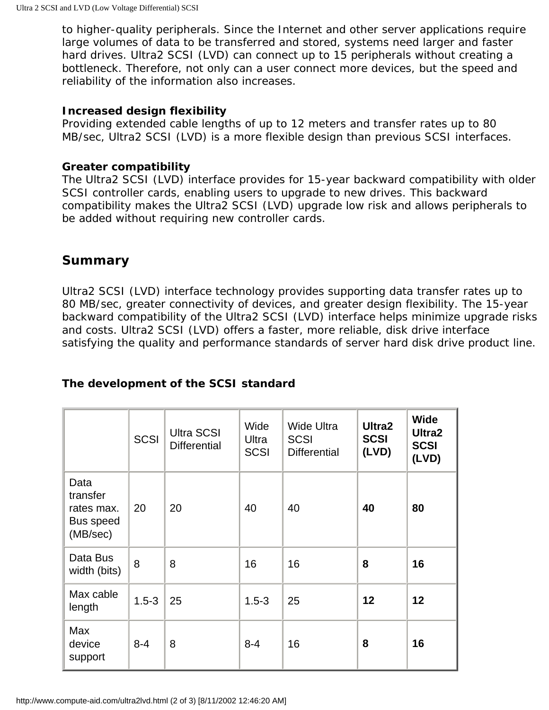to higher-quality peripherals. Since the Internet and other server applications require large volumes of data to be transferred and stored, systems need larger and faster hard drives. Ultra2 SCSI (LVD) can connect up to 15 peripherals without creating a bottleneck. Therefore, not only can a user connect more devices, but the speed and reliability of the information also increases.

### **Increased design flexibility**

Providing extended cable lengths of up to 12 meters and transfer rates up to 80 MB/sec, Ultra2 SCSI (LVD) is a more flexible design than previous SCSI interfaces.

### **Greater compatibility**

The Ultra2 SCSI (LVD) interface provides for 15-year backward compatibility with older SCSI controller cards, enabling users to upgrade to new drives. This backward compatibility makes the Ultra2 SCSI (LVD) upgrade low risk and allows peripherals to be added without requiring new controller cards.

### **Summary**

Ultra2 SCSI (LVD) interface technology provides supporting data transfer rates up to 80 MB/sec, greater connectivity of devices, and greater design flexibility. The 15-year backward compatibility of the Ultra2 SCSI (LVD) interface helps minimize upgrade risks and costs. Ultra2 SCSI (LVD) offers a faster, more reliable, disk drive interface satisfying the quality and performance standards of server hard disk drive product line.

### **The development of the SCSI standard**

|                                                         | <b>SCSI</b> | <b>Ultra SCSI</b><br><b>Differential</b> | Wide<br>Ultra<br><b>SCSI</b> | Wide Ultra<br><b>SCSI</b><br><b>Differential</b> | Ultra2<br><b>SCSI</b><br>(LVD) | <b>Wide</b><br>Ultra2<br><b>SCSI</b><br>(LVD) |
|---------------------------------------------------------|-------------|------------------------------------------|------------------------------|--------------------------------------------------|--------------------------------|-----------------------------------------------|
| Data<br>transfer<br>rates max.<br>Bus speed<br>(MB/sec) | 20          | 20                                       | 40                           | 40                                               | 40                             | 80                                            |
| Data Bus<br>width (bits)                                | 8           | 8                                        | 16                           | 16                                               | 8                              | 16                                            |
| Max cable<br>length                                     | $1.5 - 3$   | 25                                       | $1.5 - 3$                    | 25                                               | 12                             | 12                                            |
| Max<br>device<br>support                                | $8 - 4$     | 8                                        | $8 - 4$                      | 16                                               | 8                              | 16                                            |